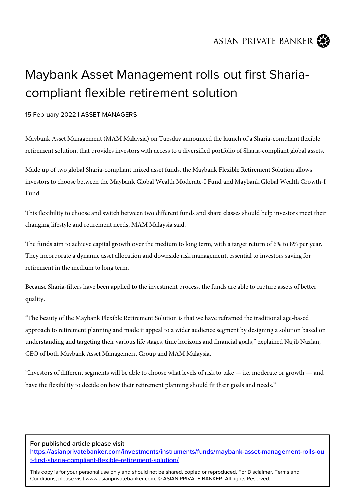ASIAN PRIVATE BANKER



## Maybank Asset Management rolls out first Shariacompliant flexible retirement solution

15 February 2022 | ASSET MANAGERS

Maybank Asset Management (MAM Malaysia) on Tuesday announced the launch of a Sharia-compliant flexible retirement solution, that provides investors with access to a diversified portfolio of Sharia-compliant global assets.

Made up of two global Sharia-compliant mixed asset funds, the Maybank Flexible Retirement Solution allows investors to choose between the Maybank Global Wealth Moderate-I Fund and Maybank Global Wealth Growth-I Fund.

This flexibility to choose and switch between two different funds and share classes should help investors meet their changing lifestyle and retirement needs, MAM Malaysia said.

The funds aim to achieve capital growth over the medium to long term, with a target return of 6% to 8% per year. They incorporate a dynamic asset allocation and downside risk management, essential to investors saving for retirement in the medium to long term.

Because Sharia-filters have been applied to the investment process, the funds are able to capture assets of better quality.

"The beauty of the Maybank Flexible Retirement Solution is that we have reframed the traditional age-based approach to retirement planning and made it appeal to a wider audience segment by designing a solution based on understanding and targeting their various life stages, time horizons and financial goals," explained Najib Nazlan, CEO of both Maybank Asset Management Group and MAM Malaysia.

"Investors of different segments will be able to choose what levels of risk to take — i.e. moderate or growth — and have the flexibility to decide on how their retirement planning should fit their goals and needs."

## **For published article please visit**

**[https://asianprivatebanker.com/investments/instruments/funds/maybank-asset-management-rolls-ou](https://asianprivatebanker.com/investments/instruments/funds/maybank-asset-management-rolls-out-first-sharia-compliant-flexible-retirement-solution/) [t-first-sharia-compliant-flexible-retirement-solution/](https://asianprivatebanker.com/investments/instruments/funds/maybank-asset-management-rolls-out-first-sharia-compliant-flexible-retirement-solution/)**

This copy is for your personal use only and should not be shared, copied or reproduced. For Disclaimer, Terms and Conditions, please visit www.asianprivatebanker.com. © ASIAN PRIVATE BANKER. All rights Reserved.